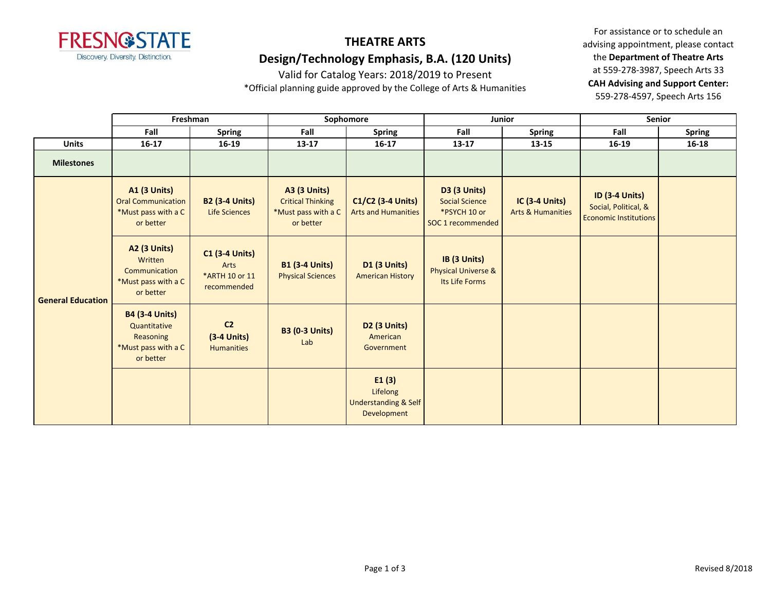

## **THEATRE ARTS Design/Technology Emphasis, B.A. (120 Units)**

Valid for Catalog Years: 2018/2019 to Present

\*Official planning guide approved by the College of Arts & Humanities

For assistance or to schedule an advising appointment, please contact the **Department of Theatre Arts** at 559-278-3987, Speech Arts 33 **CAH Advising and Support Center:**  559-278-4597, Speech Arts 156

|                          | Freshman                                                                               |                                                                | Sophomore                                                                           |                                                                     | <b>Junior</b>                                                                     |                                                       | <b>Senior</b>                                                                 |               |
|--------------------------|----------------------------------------------------------------------------------------|----------------------------------------------------------------|-------------------------------------------------------------------------------------|---------------------------------------------------------------------|-----------------------------------------------------------------------------------|-------------------------------------------------------|-------------------------------------------------------------------------------|---------------|
|                          | Fall                                                                                   | <b>Spring</b>                                                  | Fall                                                                                | <b>Spring</b>                                                       | Fall                                                                              | <b>Spring</b>                                         | Fall                                                                          | <b>Spring</b> |
| <b>Units</b>             | $16 - 17$                                                                              | $16 - 19$                                                      | 13-17                                                                               | $16 - 17$                                                           | $13 - 17$                                                                         | 13-15                                                 | 16-19                                                                         | $16 - 18$     |
| <b>Milestones</b>        |                                                                                        |                                                                |                                                                                     |                                                                     |                                                                                   |                                                       |                                                                               |               |
| <b>General Education</b> | <b>A1 (3 Units)</b><br><b>Oral Communication</b><br>*Must pass with a C<br>or better   | <b>B2 (3-4 Units)</b><br><b>Life Sciences</b>                  | <b>A3 (3 Units)</b><br><b>Critical Thinking</b><br>*Must pass with a C<br>or better | C1/C2 (3-4 Units)<br><b>Arts and Humanities</b>                     | <b>D3 (3 Units)</b><br><b>Social Science</b><br>*PSYCH 10 or<br>SOC 1 recommended | <b>IC (3-4 Units)</b><br><b>Arts &amp; Humanities</b> | <b>ID (3-4 Units)</b><br>Social, Political, &<br><b>Economic Institutions</b> |               |
|                          | <b>A2 (3 Units)</b><br>Written<br>Communication<br>*Must pass with a C<br>or better    | <b>C1 (3-4 Units)</b><br>Arts<br>*ARTH 10 or 11<br>recommended | <b>B1 (3-4 Units)</b><br><b>Physical Sciences</b>                                   | <b>D1 (3 Units)</b><br><b>American History</b>                      | IB (3 Units)<br><b>Physical Universe &amp;</b><br>Its Life Forms                  |                                                       |                                                                               |               |
|                          | <b>B4 (3-4 Units)</b><br>Quantitative<br>Reasoning<br>*Must pass with a C<br>or better | C <sub>2</sub><br>$(3-4$ Units)<br><b>Humanities</b>           | <b>B3 (0-3 Units)</b><br>Lab                                                        | <b>D2 (3 Units)</b><br>American<br>Government                       |                                                                                   |                                                       |                                                                               |               |
|                          |                                                                                        |                                                                |                                                                                     | E1(3)<br>Lifelong<br><b>Understanding &amp; Self</b><br>Development |                                                                                   |                                                       |                                                                               |               |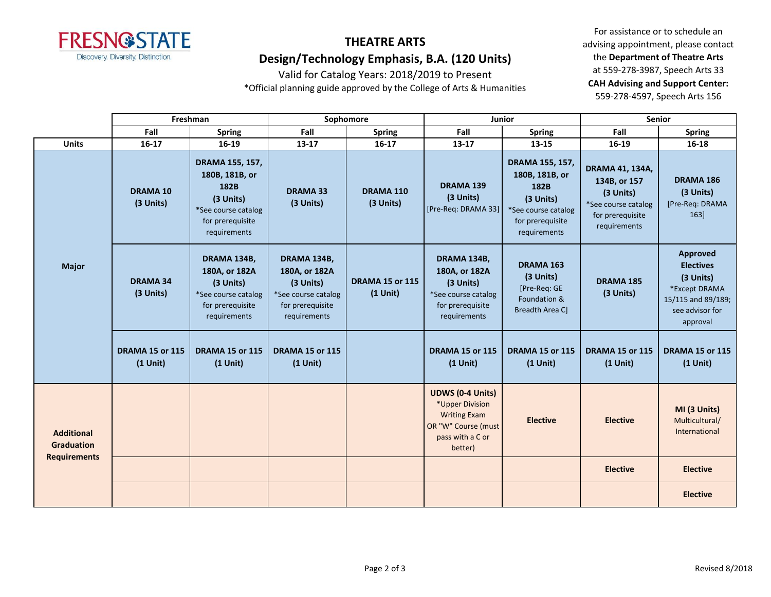

## **THEATRE ARTS Design/Technology Emphasis, B.A. (120 Units)**

Valid for Catalog Years: 2018/2019 to Present

\*Official planning guide approved by the College of Arts & Humanities

For assistance or to schedule an advising appointment, please contact the **Department of Theatre Arts** at 559-278-3987, Speech Arts 33 **CAH Advising and Support Center:**  559-278-4597, Speech Arts 156

|                                                               | Freshman                             |                                                                                                                   | Sophomore                                                                                            |                                      | Junior                                                                                                                  |                                                                                                                   | <b>Senior</b>                                                                                                  |                                                                                                                 |
|---------------------------------------------------------------|--------------------------------------|-------------------------------------------------------------------------------------------------------------------|------------------------------------------------------------------------------------------------------|--------------------------------------|-------------------------------------------------------------------------------------------------------------------------|-------------------------------------------------------------------------------------------------------------------|----------------------------------------------------------------------------------------------------------------|-----------------------------------------------------------------------------------------------------------------|
|                                                               | Fall                                 | <b>Spring</b>                                                                                                     | Fall                                                                                                 | <b>Spring</b>                        | Fall                                                                                                                    | <b>Spring</b>                                                                                                     | Fall                                                                                                           | <b>Spring</b>                                                                                                   |
| <b>Units</b>                                                  | $16 - 17$                            | 16-19                                                                                                             | $13 - 17$                                                                                            | $16 - 17$                            | $13 - 17$                                                                                                               | 13-15                                                                                                             | 16-19                                                                                                          | 16-18                                                                                                           |
| <b>Major</b>                                                  | <b>DRAMA 10</b><br>(3 Units)         | DRAMA 155, 157,<br>180B, 181B, or<br>182B<br>(3 Units)<br>*See course catalog<br>for prerequisite<br>requirements | <b>DRAMA 33</b><br>(3 Units)                                                                         | DRAMA 110<br>(3 Units)               | <b>DRAMA 139</b><br>(3 Units)<br>[Pre-Req: DRAMA 33]                                                                    | DRAMA 155, 157,<br>180B, 181B, or<br>182B<br>(3 Units)<br>*See course catalog<br>for prerequisite<br>requirements | <b>DRAMA 41, 134A,</b><br>134B, or 157<br>(3 Units)<br>*See course catalog<br>for prerequisite<br>requirements | <b>DRAMA 186</b><br>(3 Units)<br>[Pre-Req: DRAMA<br>163]                                                        |
|                                                               | <b>DRAMA 34</b><br>(3 Units)         | DRAMA 134B,<br>180A, or 182A<br>(3 Units)<br>*See course catalog<br>for prerequisite<br>requirements              | DRAMA 134B,<br>180A, or 182A<br>(3 Units)<br>*See course catalog<br>for prerequisite<br>requirements | <b>DRAMA 15 or 115</b><br>$(1$ Unit) | DRAMA 134B,<br>180A, or 182A<br>(3 Units)<br>*See course catalog<br>for prerequisite<br>requirements                    | <b>DRAMA 163</b><br>(3 Units)<br>[Pre-Req: GE<br>Foundation &<br>Breadth Area C]                                  | <b>DRAMA 185</b><br>(3 Units)                                                                                  | Approved<br><b>Electives</b><br>(3 Units)<br>*Except DRAMA<br>15/115 and 89/189;<br>see advisor for<br>approval |
|                                                               | <b>DRAMA 15 or 115</b><br>$(1$ Unit) | <b>DRAMA 15 or 115</b><br>$(1$ Unit)                                                                              | <b>DRAMA 15 or 115</b><br>$(1$ Unit)                                                                 |                                      | <b>DRAMA 15 or 115</b><br>$(1$ Unit)                                                                                    | <b>DRAMA 15 or 115</b><br>$(1$ Unit)                                                                              | <b>DRAMA 15 or 115</b><br>$(1$ Unit)                                                                           | <b>DRAMA 15 or 115</b><br>$(1$ Unit)                                                                            |
| <b>Additional</b><br><b>Graduation</b><br><b>Requirements</b> |                                      |                                                                                                                   |                                                                                                      |                                      | <b>UDWS (0-4 Units)</b><br>*Upper Division<br><b>Writing Exam</b><br>OR "W" Course (must<br>pass with a C or<br>better) | <b>Elective</b>                                                                                                   | <b>Elective</b>                                                                                                | MI (3 Units)<br>Multicultural/<br>International                                                                 |
|                                                               |                                      |                                                                                                                   |                                                                                                      |                                      |                                                                                                                         |                                                                                                                   | <b>Elective</b>                                                                                                | <b>Elective</b>                                                                                                 |
|                                                               |                                      |                                                                                                                   |                                                                                                      |                                      |                                                                                                                         |                                                                                                                   |                                                                                                                | <b>Elective</b>                                                                                                 |